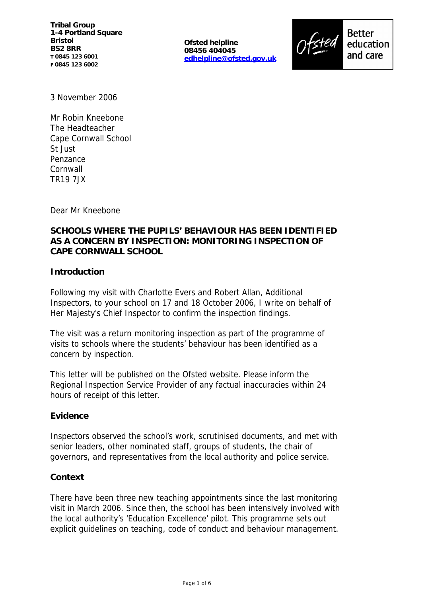**Tribal Group 1-4 Portland Square Bristol BS2 8RR T 0845 123 6001 F 0845 123 6002**

**Ofsted helpline 08456 404045 edhelpline@ofsted.gov.uk**



**Better** education and care

3 November 2006

Mr Robin Kneebone The Headteacher Cape Cornwall School St Just Penzance **Cornwall** TR19 7JX

Dear Mr Kneebone

# **SCHOOLS WHERE THE PUPILS' BEHAVIOUR HAS BEEN IDENTIFIED AS A CONCERN BY INSPECTION: MONITORING INSPECTION OF CAPE CORNWALL SCHOOL**

## **Introduction**

Following my visit with Charlotte Evers and Robert Allan, Additional Inspectors, to your school on 17 and 18 October 2006, I write on behalf of Her Majesty's Chief Inspector to confirm the inspection findings.

The visit was a return monitoring inspection as part of the programme of visits to schools where the students' behaviour has been identified as a concern by inspection.

This letter will be published on the Ofsted website. Please inform the Regional Inspection Service Provider of any factual inaccuracies within 24 hours of receipt of this letter.

#### **Evidence**

Inspectors observed the school's work, scrutinised documents, and met with senior leaders, other nominated staff, groups of students, the chair of governors, and representatives from the local authority and police service.

#### **Context**

There have been three new teaching appointments since the last monitoring visit in March 2006. Since then, the school has been intensively involved with the local authority's 'Education Excellence' pilot. This programme sets out explicit guidelines on teaching, code of conduct and behaviour management.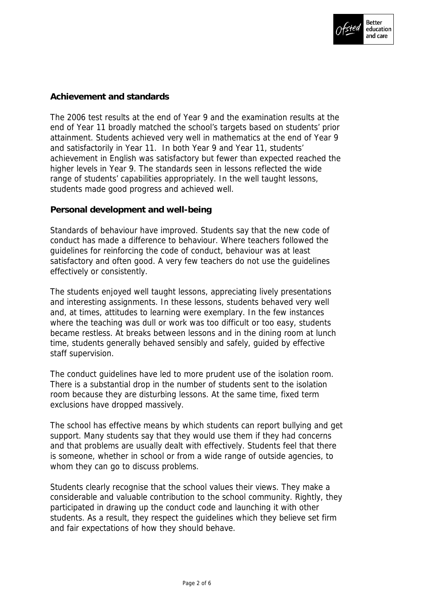

# **Achievement and standards**

The 2006 test results at the end of Year 9 and the examination results at the end of Year 11 broadly matched the school's targets based on students' prior attainment. Students achieved very well in mathematics at the end of Year 9 and satisfactorily in Year 11. In both Year 9 and Year 11, students' achievement in English was satisfactory but fewer than expected reached the higher levels in Year 9. The standards seen in lessons reflected the wide range of students' capabilities appropriately. In the well taught lessons, students made good progress and achieved well.

**Personal development and well-being**

Standards of behaviour have improved. Students say that the new code of conduct has made a difference to behaviour. Where teachers followed the guidelines for reinforcing the code of conduct, behaviour was at least satisfactory and often good. A very few teachers do not use the guidelines effectively or consistently.

The students enjoyed well taught lessons, appreciating lively presentations and interesting assignments. In these lessons, students behaved very well and, at times, attitudes to learning were exemplary. In the few instances where the teaching was dull or work was too difficult or too easy, students became restless. At breaks between lessons and in the dining room at lunch time, students generally behaved sensibly and safely, guided by effective staff supervision.

The conduct guidelines have led to more prudent use of the isolation room. There is a substantial drop in the number of students sent to the isolation room because they are disturbing lessons. At the same time, fixed term exclusions have dropped massively.

The school has effective means by which students can report bullying and get support. Many students say that they would use them if they had concerns and that problems are usually dealt with effectively. Students feel that there is someone, whether in school or from a wide range of outside agencies, to whom they can go to discuss problems.

Students clearly recognise that the school values their views. They make a considerable and valuable contribution to the school community. Rightly, they participated in drawing up the conduct code and launching it with other students. As a result, they respect the guidelines which they believe set firm and fair expectations of how they should behave.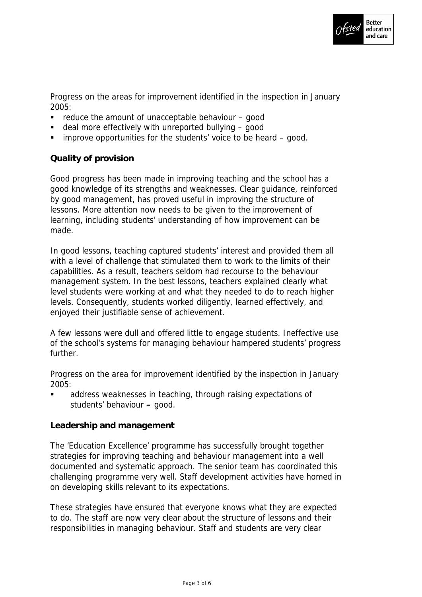

Progress on the areas for improvement identified in the inspection in January 2005:

- $\blacksquare$  reduce the amount of unacceptable behaviour  $\blacksquare$  good
- deal more effectively with unreported bullying good
- improve opportunities for the students' voice to be heard good.

# **Quality of provision**

Good progress has been made in improving teaching and the school has a good knowledge of its strengths and weaknesses. Clear guidance, reinforced by good management, has proved useful in improving the structure of lessons. More attention now needs to be given to the improvement of learning, including students' understanding of how improvement can be made.

In good lessons, teaching captured students' interest and provided them all with a level of challenge that stimulated them to work to the limits of their capabilities. As a result, teachers seldom had recourse to the behaviour management system. In the best lessons, teachers explained clearly what level students were working at and what they needed to do to reach higher levels. Consequently, students worked diligently, learned effectively, and enjoyed their justifiable sense of achievement.

A few lessons were dull and offered little to engage students. Ineffective use of the school's systems for managing behaviour hampered students' progress further.

Progress on the area for improvement identified by the inspection in January 2005:

 address weaknesses in teaching, through raising expectations of students' behaviour **–** good.

## **Leadership and management**

The 'Education Excellence' programme has successfully brought together strategies for improving teaching and behaviour management into a well documented and systematic approach. The senior team has coordinated this challenging programme very well. Staff development activities have homed in on developing skills relevant to its expectations.

These strategies have ensured that everyone knows what they are expected to do. The staff are now very clear about the structure of lessons and their responsibilities in managing behaviour. Staff and students are very clear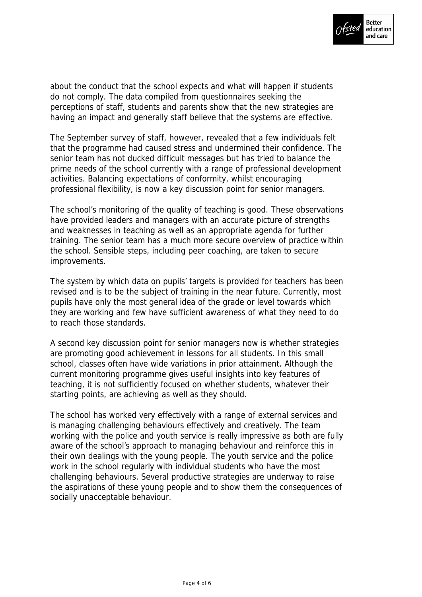

about the conduct that the school expects and what will happen if students do not comply. The data compiled from questionnaires seeking the perceptions of staff, students and parents show that the new strategies are having an impact and generally staff believe that the systems are effective.

The September survey of staff, however, revealed that a few individuals felt that the programme had caused stress and undermined their confidence. The senior team has not ducked difficult messages but has tried to balance the prime needs of the school currently with a range of professional development activities. Balancing expectations of conformity, whilst encouraging professional flexibility, is now a key discussion point for senior managers.

The school's monitoring of the quality of teaching is good. These observations have provided leaders and managers with an accurate picture of strengths and weaknesses in teaching as well as an appropriate agenda for further training. The senior team has a much more secure overview of practice within the school. Sensible steps, including peer coaching, are taken to secure improvements.

The system by which data on pupils' targets is provided for teachers has been revised and is to be the subject of training in the near future. Currently, most pupils have only the most general idea of the grade or level towards which they are working and few have sufficient awareness of what they need to do to reach those standards.

A second key discussion point for senior managers now is whether strategies are promoting good achievement in lessons for all students. In this small school, classes often have wide variations in prior attainment. Although the current monitoring programme gives useful insights into key features of teaching, it is not sufficiently focused on whether students, whatever their starting points, are achieving as well as they should.

The school has worked very effectively with a range of external services and is managing challenging behaviours effectively and creatively. The team working with the police and youth service is really impressive as both are fully aware of the school's approach to managing behaviour and reinforce this in their own dealings with the young people. The youth service and the police work in the school regularly with individual students who have the most challenging behaviours. Several productive strategies are underway to raise the aspirations of these young people and to show them the consequences of socially unacceptable behaviour.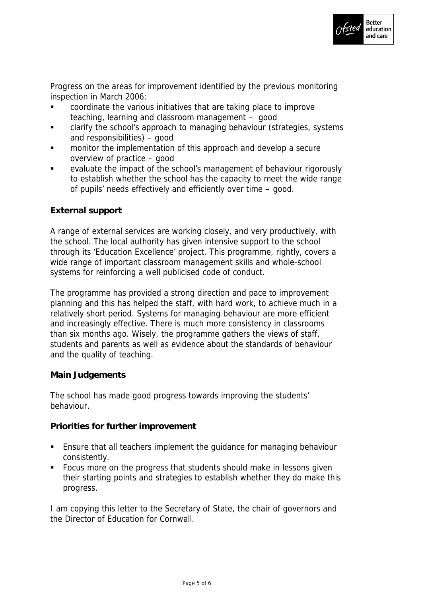

Progress on the areas for improvement identified by the previous monitoring inspection in March 2006:

- coordinate the various initiatives that are taking place to improve teaching, learning and classroom management – good
- clarify the school's approach to managing behaviour (strategies, systems and responsibilities) – good
- monitor the implementation of this approach and develop a secure overview of practice – good
- evaluate the impact of the school's management of behaviour rigorously to establish whether the school has the capacity to meet the wide range of pupils' needs effectively and efficiently over time **–** good.

## **External support**

A range of external services are working closely, and very productively, with the school. The local authority has given intensive support to the school through its 'Education Excellence' project. This programme, rightly, covers a wide range of important classroom management skills and whole-school systems for reinforcing a well publicised code of conduct.

The programme has provided a strong direction and pace to improvement planning and this has helped the staff, with hard work, to achieve much in a relatively short period. Systems for managing behaviour are more efficient and increasingly effective. There is much more consistency in classrooms than six months ago. Wisely, the programme gathers the views of staff, students and parents as well as evidence about the standards of behaviour and the quality of teaching.

## **Main Judgements**

The school has made good progress towards improving the students' behaviour.

**Priorities for further improvement**

- Ensure that all teachers implement the guidance for managing behaviour consistently.
- Focus more on the progress that students should make in lessons given their starting points and strategies to establish whether they do make this progress.

I am copying this letter to the Secretary of State, the chair of governors and the Director of Education for Cornwall.